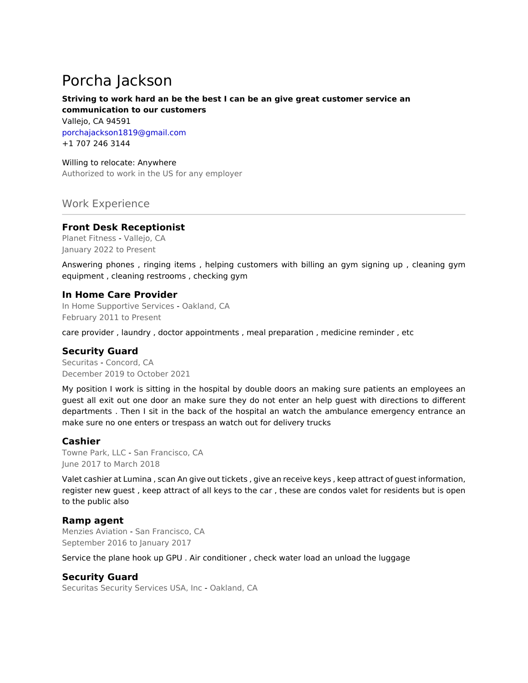# Porcha Jackson

# **Striving to work hard an be the best I can be an give great customer service an communication to our customers**

Vallejo, CA 94591 porchajackson1819@gmail.com +1 707 246 3144

Willing to relocate: Anywhere Authorized to work in the US for any employer

# Work Experience

#### **Front Desk Receptionist**

Planet Fitness - Vallejo, CA January 2022 to Present

Answering phones , ringing items , helping customers with billing an gym signing up , cleaning gym equipment , cleaning restrooms , checking gym

### **In Home Care Provider**

In Home Supportive Services - Oakland, CA February 2011 to Present

care provider , laundry , doctor appointments , meal preparation , medicine reminder , etc

## **Security Guard**

Securitas - Concord, CA December 2019 to October 2021

My position I work is sitting in the hospital by double doors an making sure patients an employees an guest all exit out one door an make sure they do not enter an help guest with directions to different departments . Then I sit in the back of the hospital an watch the ambulance emergency entrance an make sure no one enters or trespass an watch out for delivery trucks

#### **Cashier**

Towne Park, LLC - San Francisco, CA June 2017 to March 2018

Valet cashier at Lumina , scan An give out tickets , give an receive keys , keep attract of guest information, register new guest , keep attract of all keys to the car , these are condos valet for residents but is open to the public also

#### **Ramp agent**

Menzies Aviation - San Francisco, CA September 2016 to January 2017

Service the plane hook up GPU . Air conditioner , check water load an unload the luggage

## **Security Guard**

Securitas Security Services USA, Inc - Oakland, CA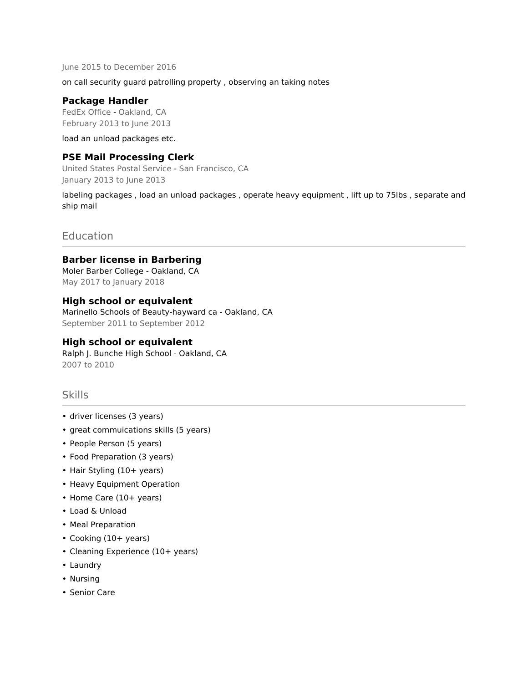June 2015 to December 2016

on call security guard patrolling property , observing an taking notes

#### **Package Handler**

FedEx Office - Oakland, CA February 2013 to June 2013

load an unload packages etc.

#### **PSE Mail Processing Clerk**

United States Postal Service - San Francisco, CA January 2013 to June 2013

labeling packages , load an unload packages , operate heavy equipment , lift up to 75lbs , separate and ship mail

## **Education**

#### **Barber license in Barbering**

Moler Barber College - Oakland, CA May 2017 to January 2018

#### **High school or equivalent**

Marinello Schools of Beauty-hayward ca - Oakland, CA September 2011 to September 2012

#### **High school or equivalent**

Ralph J. Bunche High School - Oakland, CA 2007 to 2010

#### Skills

- driver licenses (3 years)
- great commuications skills (5 years)
- People Person (5 years)
- Food Preparation (3 years)
- Hair Styling (10+ years)
- Heavy Equipment Operation
- Home Care (10+ years)
- Load & Unload
- Meal Preparation
- Cooking (10+ years)
- Cleaning Experience (10+ years)
- Laundry
- Nursing
- Senior Care